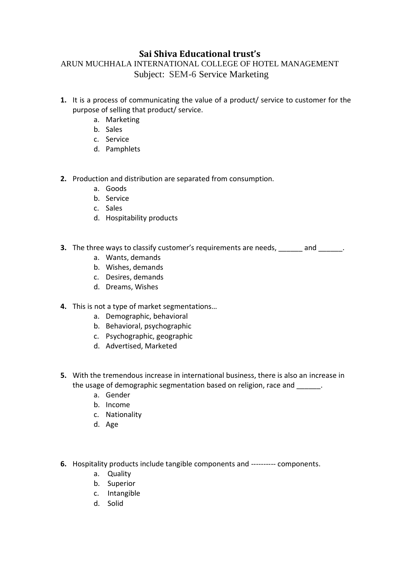## **Sai Shiva Educational trust's**

## ARUN MUCHHALA INTERNATIONAL COLLEGE OF HOTEL MANAGEMENT Subject: SEM-6 Service Marketing

- **1.** It is a process of communicating the value of a product/ service to customer for the purpose of selling that product/ service.
	- a. Marketing
	- b. Sales
	- c. Service
	- d. Pamphlets
- **2.** Production and distribution are separated from consumption.
	- a. Goods
	- b. Service
	- c. Sales
	- d. Hospitability products

**3.** The three ways to classify customer's requirements are needs, and  $\qquad \qquad$ .

- a. Wants, demands
- b. Wishes, demands
- c. Desires, demands
- d. Dreams, Wishes
- **4.** This is not a type of market segmentations…
	- a. Demographic, behavioral
	- b. Behavioral, psychographic
	- c. Psychographic, geographic
	- d. Advertised, Marketed
- **5.** With the tremendous increase in international business, there is also an increase in the usage of demographic segmentation based on religion, race and  $\qquad \qquad$ .
	- a. Gender
	- b. Income
	- c. Nationality
	- d. Age
- **6.** Hospitality products include tangible components and ---------- components.
	- a. Quality
	- b. Superior
	- c. Intangible
	- d. Solid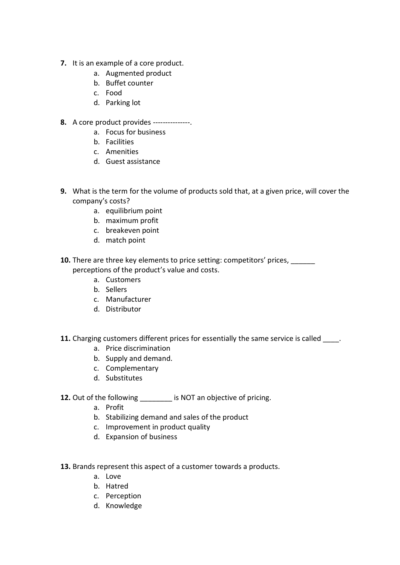- **7.** It is an example of a core product.
	- a. Augmented product
	- b. Buffet counter
	- c. Food
	- d. Parking lot
- **8.** A core product provides ---------------.
	- a. Focus for business
	- b. Facilities
	- c. Amenities
	- d. Guest assistance
- **9.** What is the term for the volume of products sold that, at a given price, will cover the company's costs?
	- a. equilibrium point
	- b. maximum profit
	- c. breakeven point
	- d. match point
- **10.** There are three key elements to price setting: competitors' prices, \_\_\_\_\_\_ perceptions of the product's value and costs.
	- a. Customers
	- b. Sellers
	- c. Manufacturer
	- d. Distributor
- **11.** Charging customers different prices for essentially the same service is called \_\_\_\_.
	- a. Price discrimination
	- b. Supply and demand.
	- c. Complementary
	- d. Substitutes
- **12.** Out of the following **ignoring** is NOT an objective of pricing.
	- a. Profit
	- b. Stabilizing demand and sales of the product
	- c. Improvement in product quality
	- d. Expansion of business
- **13.** Brands represent this aspect of a customer towards a products.
	- a. Love
	- b. Hatred
	- c. Perception
	- d. Knowledge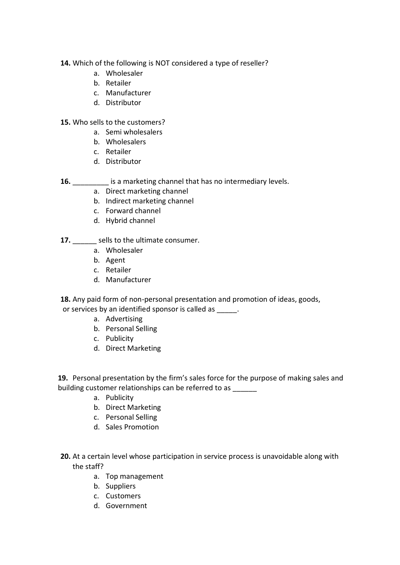- **14.** Which of the following is NOT considered a type of reseller?
	- a. Wholesaler
	- b. Retailer
	- c. Manufacturer
	- d. Distributor

**15.** Who sells to the customers?

- a. Semi wholesalers
- b. Wholesalers
- c. Retailer
- d. Distributor

**16. 16. is a marketing channel that has no intermediary levels.** 

- a. Direct marketing channel
- b. Indirect marketing channel
- c. Forward channel
- d. Hybrid channel

**17.** \_\_\_\_\_\_ sells to the ultimate consumer.

- a. Wholesaler
- b. Agent
- c. Retailer
- d. Manufacturer

**18.** Any paid form of non-personal presentation and promotion of ideas, goods,

or services by an identified sponsor is called as \_\_\_\_\_.

- a. Advertising
- b. Personal Selling
- c. Publicity
- d. Direct Marketing

**19.** Personal presentation by the firm's sales force for the purpose of making sales and building customer relationships can be referred to as

- a. Publicity
- b. Direct Marketing
- c. Personal Selling
- d. Sales Promotion

**20.** At a certain level whose participation in service process is unavoidable along with the staff?

- a. Top management
- b. Suppliers
- c. Customers
- d. Government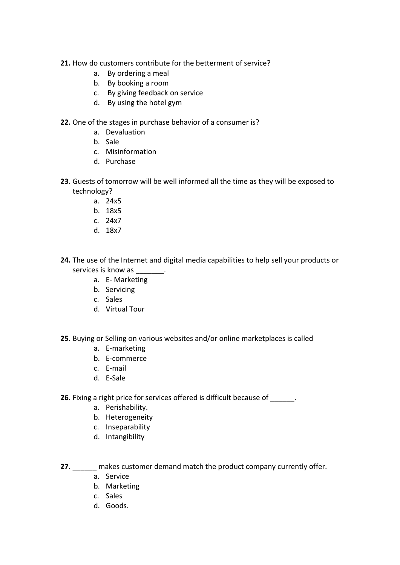- **21.** How do customers contribute for the betterment of service?
	- a. By ordering a meal
	- b. By booking a room
	- c. By giving feedback on service
	- d. By using the hotel gym
- **22.** One of the stages in purchase behavior of a consumer is?
	- a. Devaluation
	- b. Sale
	- c. Misinformation
	- d. Purchase
- **23.** Guests of tomorrow will be well informed all the time as they will be exposed to technology?
	- a. 24x5
	- b. 18x5
	- c. 24x7
	- d. 18x7
- **24.** The use of the Internet and digital media capabilities to help sell your products or services is know as  $\qquad \qquad$ .
	- a. E- Marketing
	- b. Servicing
	- c. Sales
	- d. Virtual Tour

**25.** Buying or Selling on various websites and/or online marketplaces is called

- a. E-marketing
- b. E-commerce
- c. E-mail
- d. E-Sale

**26.** Fixing a right price for services offered is difficult because of  $\qquad$ .

- a. Perishability.
- b. Heterogeneity
- c. Inseparability
- d. Intangibility
- **27.** \_\_\_\_\_\_ makes customer demand match the product company currently offer.
	- a. Service
	- b. Marketing
	- c. Sales
	- d. Goods.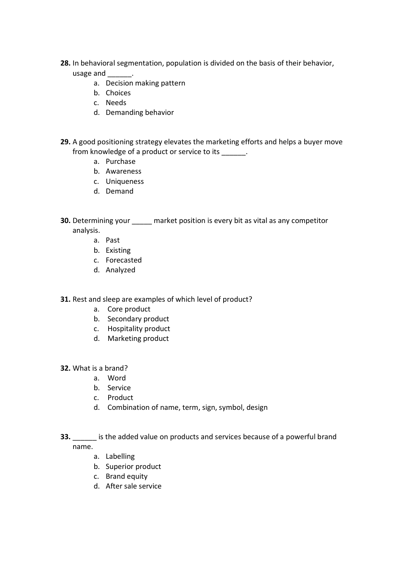- **28.** In behavioral segmentation, population is divided on the basis of their behavior, usage and \_\_\_\_\_\_.
	- a. Decision making pattern
	- b. Choices
	- c. Needs
	- d. Demanding behavior
- **29.** A good positioning strategy elevates the marketing efforts and helps a buyer move from knowledge of a product or service to its  $\qquad \qquad$ .
	- a. Purchase
	- b. Awareness
	- c. Uniqueness
	- d. Demand

**30.** Determining your \_\_\_\_\_ market position is every bit as vital as any competitor analysis.

- a. Past
- b. Existing
- c. Forecasted
- d. Analyzed

**31.** Rest and sleep are examples of which level of product?

- a. Core product
- b. Secondary product
- c. Hospitality product
- d. Marketing product
- **32.** What is a brand?
	- a. Word
	- b. Service
	- c. Product
	- d. Combination of name, term, sign, symbol, design

**33.** \_\_\_\_\_\_ is the added value on products and services because of a powerful brand name.

- a. Labelling
- b. Superior product
- c. Brand equity
- d. After sale service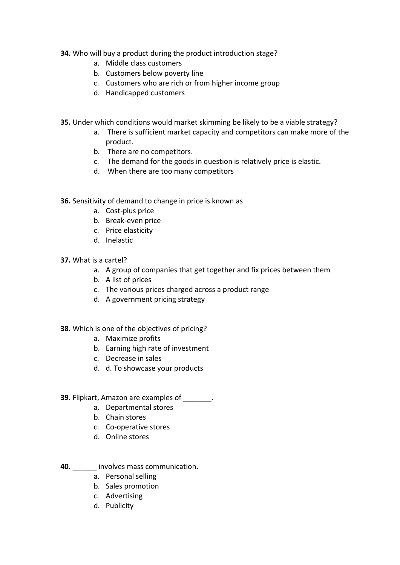- **34.** Who will buy a product during the product introduction stage?
	- a. Middle class customers
	- b. Customers below poverty line
	- c. Customers who are rich or from higher income group
	- d. Handicapped customers
- **35.** Under which conditions would market skimming be likely to be a viable strategy?
	- a. There is sufficient market capacity and competitors can make more of the product.
	- b. There are no competitors.
	- c. The demand for the goods in question is relatively price is elastic.
	- d. When there are too many competitors
- **36.** Sensitivity of demand to change in price is known as
	- a. Cost-plus price
	- b. Break-even price
	- c. Price elasticity
	- d. Inelastic
- **37.** What is a cartel?
	- a. A group of companies that get together and fix prices between them
	- b. A list of prices
	- c. The various prices charged across a product range
	- d. A government pricing strategy

## **38.** Which is one of the objectives of pricing?

- a. Maximize profits
- b. Earning high rate of investment
- c. Decrease in sales
- d. d. To showcase your products
- **39.** Flipkart, Amazon are examples of  $\qquad$ .
	- a. Departmental stores
	- b. Chain stores
	- c. Co-operative stores
	- d. Online stores
- **40.** \_\_\_\_\_\_ involves mass communication.
	- a. Personal selling
	- b. Sales promotion
	- c. Advertising
	- d. Publicity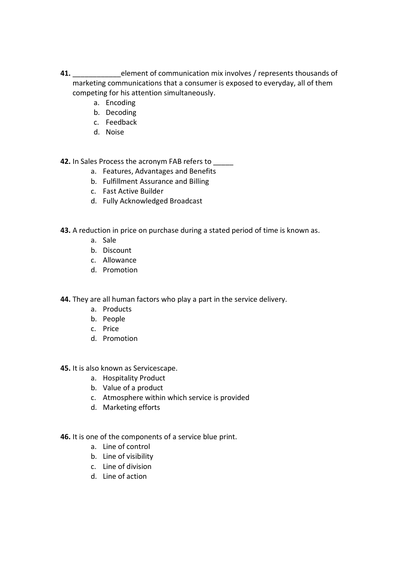- **41.** \_\_\_\_\_\_\_\_\_\_\_\_element of communication mix involves / represents thousands of marketing communications that a consumer is exposed to everyday, all of them competing for his attention simultaneously.
	- a. Encoding
	- b. Decoding
	- c. Feedback
	- d. Noise

**42.** In Sales Process the acronym FAB refers to \_\_\_\_\_

- a. Features, Advantages and Benefits
- b. Fulfillment Assurance and Billing
- c. Fast Active Builder
- d. Fully Acknowledged Broadcast

**43.** A reduction in price on purchase during a stated period of time is known as.

- a. Sale
- b. Discount
- c. Allowance
- d. Promotion

**44.** They are all human factors who play a part in the service delivery.

- a. Products
- b. People
- c. Price
- d. Promotion

**45.** It is also known as Servicescape.

- a. Hospitality Product
- b. Value of a product
- c. Atmosphere within which service is provided
- d. Marketing efforts

**46.** It is one of the components of a service blue print.

- a. Line of control
- b. Line of visibility
- c. Line of division
- d. Line of action